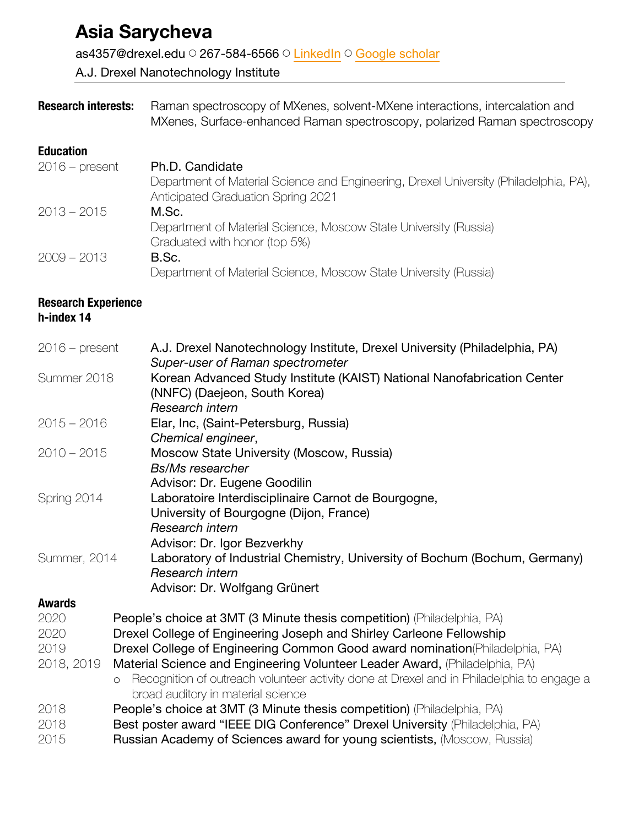# **Asia Sarycheva**

as4357@drexel.edu ◯ 267-584-6566 ◯ LinkedIn ◯ Google scholar

A.J. Drexel Nanotechnology Institute

**Research interests:** Raman spectroscopy of MXenes, solvent-MXene interactions, intercalation and MXenes, Surface-enhanced Raman spectroscopy, polarized Raman spectroscopy

# **Education**

| $2016$ – present | Ph.D. Candidate                                                                       |
|------------------|---------------------------------------------------------------------------------------|
|                  | Department of Material Science and Engineering, Drexel University (Philadelphia, PA), |
|                  | Anticipated Graduation Spring 2021                                                    |
| $2013 - 2015$    | M.Sc.                                                                                 |
|                  | Department of Material Science, Moscow State University (Russia)                      |
|                  | Graduated with honor (top 5%)                                                         |
| $2009 - 2013$    | B.Sc.                                                                                 |
|                  | Department of Material Science, Moscow State University (Russia)                      |

#### **Research Experience h-index 14**

| $2016$ – present | A.J. Drexel Nanotechnology Institute, Drexel University (Philadelphia, PA)                           |
|------------------|------------------------------------------------------------------------------------------------------|
|                  | Super-user of Raman spectrometer                                                                     |
| Summer 2018      | Korean Advanced Study Institute (KAIST) National Nanofabrication Center                              |
|                  | (NNFC) (Daejeon, South Korea)                                                                        |
|                  | Research intern                                                                                      |
| $2015 - 2016$    | Elar, Inc, (Saint-Petersburg, Russia)                                                                |
|                  | Chemical engineer,                                                                                   |
| $2010 - 2015$    | Moscow State University (Moscow, Russia)                                                             |
|                  | <b>Bs/Ms researcher</b>                                                                              |
|                  | Advisor: Dr. Eugene Goodilin                                                                         |
| Spring 2014      | Laboratoire Interdisciplinaire Carnot de Bourgogne,                                                  |
|                  | University of Bourgogne (Dijon, France)                                                              |
|                  | Research intern                                                                                      |
|                  | Advisor: Dr. Igor Bezverkhy                                                                          |
| Summer, 2014     | Laboratory of Industrial Chemistry, University of Bochum (Bochum, Germany)                           |
|                  | Research intern                                                                                      |
|                  | Advisor: Dr. Wolfgang Grünert                                                                        |
| <b>Awards</b>    |                                                                                                      |
| 2020             | People's choice at 3MT (3 Minute thesis competition) (Philadelphia, PA)                              |
| 2020             | Drexel College of Engineering Joseph and Shirley Carleone Fellowship                                 |
| 2019             | Drexel College of Engineering Common Good award nomination (Philadelphia, PA)                        |
| 2018, 2019       | Material Science and Engineering Volunteer Leader Award, (Philadelphia, PA)                          |
|                  | Recognition of outreach volunteer activity done at Drexel and in Philadelphia to engage a<br>$\circ$ |
|                  | broad auditory in material science                                                                   |
| 2018             | People's choice at 3MT (3 Minute thesis competition) (Philadelphia, PA)                              |
| 2018             | Best poster award "IEEE DIG Conference" Drexel University (Philadelphia, PA)                         |
| 2015             | Russian Academy of Sciences award for young scientists, (Moscow, Russia)                             |